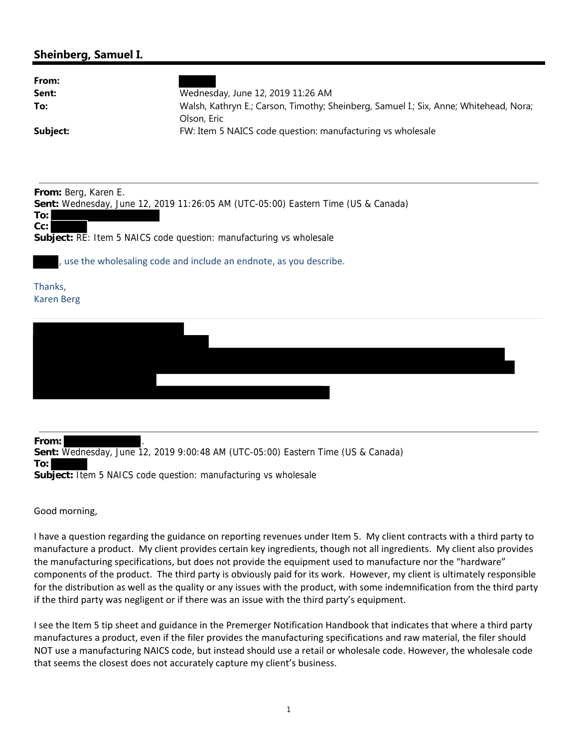## **Sheinberg, Samuel I.**

| From:<br>Sent:<br>To:<br>Subject:                                                                                                                                                                                                                                        | Wednesday, June 12, 2019 11:26 AM<br>Walsh, Kathryn E.; Carson, Timothy; Sheinberg, Samuel I.; Six, Anne; Whitehead, Nora;<br>Olson, Eric<br>FW: Item 5 NAICS code question: manufacturing vs wholesale |
|--------------------------------------------------------------------------------------------------------------------------------------------------------------------------------------------------------------------------------------------------------------------------|---------------------------------------------------------------------------------------------------------------------------------------------------------------------------------------------------------|
| From: Berg, Karen E.<br>Sent: Wednesday, June 12, 2019 11:26:05 AM (UTC-05:00) Eastern Time (US & Canada)<br>To:<br>$Cc$ :<br>Subject: RE: Item 5 NAICS code question: manufacturing vs wholesale<br>, use the wholesaling code and include an endnote, as you describe. |                                                                                                                                                                                                         |
| Thanks,<br><b>Karen Berg</b>                                                                                                                                                                                                                                             |                                                                                                                                                                                                         |
|                                                                                                                                                                                                                                                                          |                                                                                                                                                                                                         |

**From:** . **Sent:** Wednesday, June 12, 2019 9:00:48 AM (UTC-05:00) Eastern Time (US & Canada) **To: Subject:** Item 5 NAICS code question: manufacturing vs wholesale

Good morning,

I have a question regarding the guidance on reporting revenues under Item 5. My client contracts with a third party to manufacture a product. My client provides certain key ingredients, though not all ingredients. My client also provides the manufacturing specifications, but does not provide the equipment used to manufacture nor the "hardware" components of the product. The third party is obviously paid for its work. However, my client is ultimately responsible for the distribution as well as the quality or any issues with the product, with some indemnification from the third party if the third party was negligent or if there was an issue with the third party's equipment.

I see the Item 5 tip sheet and guidance in the Premerger Notification Handbook that indicates that where a third party manufactures a product, even if the filer provides the manufacturing specifications and raw material, the filer should NOT use a manufacturing NAICS code, but instead should use a retail or wholesale code. However, the wholesale code that seems the closest does not accurately capture my client's business.